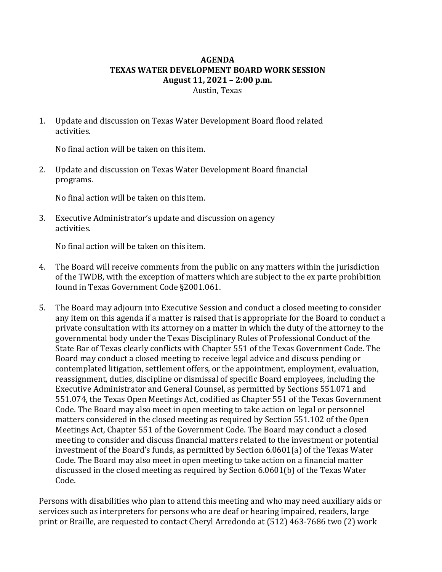## **AGENDA TEXAS WATER DEVELOPMENT BOARD WORK SESSION August 11, 2021 – 2:00 p.m.** Austin, Texas

1. Update and discussion on Texas Water Development Board flood related activities.

No final action will be taken on this item.

2. Update and discussion on Texas Water Development Board financial programs.

No final action will be taken on this item.

3. Executive Administrator's update and discussion on agency activities.

No final action will be taken on this item.

- 4. The Board will receive comments from the public on any matters within the jurisdiction of the TWDB, with the exception of matters which are subject to the ex parte prohibition found in Texas Government Code §2001.061.
- 5. The Board may adjourn into Executive Session and conduct a closed meeting to consider any item on this agenda if a matter is raised that is appropriate for the Board to conduct a private consultation with its attorney on a matter in which the duty of the attorney to the governmental body under the Texas Disciplinary Rules of Professional Conduct of the State Bar of Texas clearly conflicts with Chapter 551 of the Texas Government Code. The Board may conduct a closed meeting to receive legal advice and discuss pending or contemplated litigation, settlement offers, or the appointment, employment, evaluation, reassignment, duties, discipline or dismissal of specific Board employees, including the Executive Administrator and General Counsel, as permitted by Sections 551.071 and 551.074, the Texas Open Meetings Act, codified as Chapter 551 of the Texas Government Code. The Board may also meet in open meeting to take action on legal or personnel matters considered in the closed meeting as required by Section 551.102 of the Open Meetings Act, Chapter 551 of the Government Code. The Board may conduct a closed meeting to consider and discuss financial matters related to the investment or potential investment of the Board's funds, as permitted by Section 6.0601(a) of the Texas Water Code. The Board may also meet in open meeting to take action on a financial matter discussed in the closed meeting as required by Section 6.0601(b) of the Texas Water Code.

Persons with disabilities who plan to attend this meeting and who may need auxiliary aids or services such as interpreters for persons who are deaf or hearing impaired, readers, large print or Braille, are requested to contact Cheryl Arredondo at (512) 463-7686 two (2) work